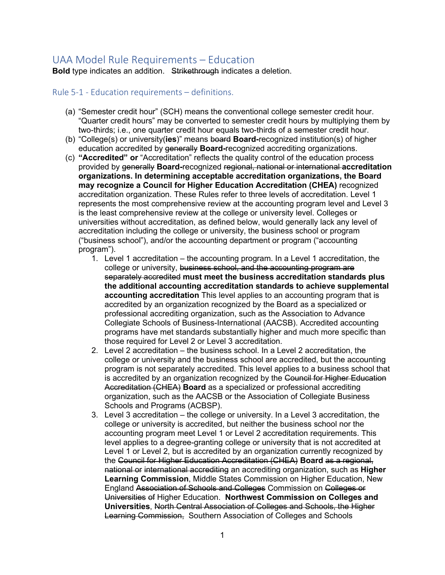## UAA Model Rule Requirements – Education

**Bold** type indicates an addition. Strikethrough indicates a deletion.

## Rule 5-1 - Education requirements – definitions.

- (a) "Semester credit hour" (SCH) means the conventional college semester credit hour. "Quarter credit hours" may be converted to semester credit hours by multiplying them by two-thirds; i.e., one quarter credit hour equals two-thirds of a semester credit hour.
- (b) "College(s) or university(**ies**)" means board **Board-**recognized institution(s) of higher education accredited by generally **Board-**recognized accrediting organizations.
- (c) **"Accredited" or** "Accreditation" reflects the quality control of the education process provided by generally **Board-**recognized regional, national or international **accreditation organizations. In determining acceptable accreditation organizations, the Board may recognize a Council for Higher Education Accreditation (CHEA)** recognized accreditation organization. These Rules refer to three levels of accreditation. Level 1 represents the most comprehensive review at the accounting program level and Level 3 is the least comprehensive review at the college or university level. Colleges or universities without accreditation, as defined below, would generally lack any level of accreditation including the college or university, the business school or program ("business school"), and/or the accounting department or program ("accounting program").
	- 1. Level 1 accreditation the accounting program. In a Level 1 accreditation, the college or university, business school, and the accounting program are separately accredited **must meet the business accreditation standards plus the additional accounting accreditation standards to achieve supplemental accounting accreditation** This level applies to an accounting program that is accredited by an organization recognized by the Board as a specialized or professional accrediting organization, such as the Association to Advance Collegiate Schools of Business-International (AACSB). Accredited accounting programs have met standards substantially higher and much more specific than those required for Level 2 or Level 3 accreditation.
	- 2. Level 2 accreditation the business school. In a Level 2 accreditation, the college or university and the business school are accredited, but the accounting program is not separately accredited. This level applies to a business school that is accredited by an organization recognized by the Council for Higher Education Accreditation (CHEA) **Board** as a specialized or professional accrediting organization, such as the AACSB or the Association of Collegiate Business Schools and Programs (ACBSP).
	- 3. Level 3 accreditation the college or university. In a Level 3 accreditation, the college or university is accredited, but neither the business school nor the accounting program meet Level 1 or Level 2 accreditation requirements. This level applies to a degree-granting college or university that is not accredited at Level 1 or Level 2, but is accredited by an organization currently recognized by the Council for Higher Education Accreditation (CHEA) **Board** as a regional, national or international accrediting an accrediting organization, such as **Higher Learning Commission**, Middle States Commission on Higher Education, New England Association of Schools and Colleges Commission on Colleges or Universities of Higher Education. **Northwest Commission on Colleges and Universities**, North Central Association of Colleges and Schools, the Higher Learning Commission, Southern Association of Colleges and Schools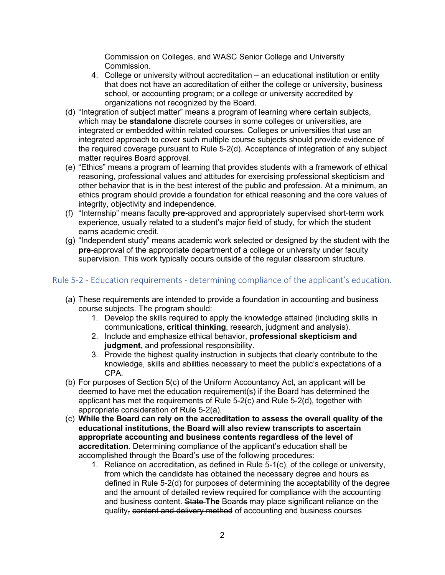Commission on Colleges, and WASC Senior College and University Commission.

- 4. College or university without accreditation an educational institution or entity that does not have an accreditation of either the college or university, business school, or accounting program; or a college or university accredited by organizations not recognized by the Board.
- (d) "Integration of subject matter" means a program of learning where certain subjects, which may be **standalone** discrete courses in some colleges or universities, are integrated or embedded within related courses. Colleges or universities that use an integrated approach to cover such multiple course subjects should provide evidence of the required coverage pursuant to Rule 5-2(d). Acceptance of integration of any subject matter requires Board approval.
- (e) "Ethics" means a program of learning that provides students with a framework of ethical reasoning, professional values and attitudes for exercising professional skepticism and other behavior that is in the best interest of the public and profession. At a minimum, an ethics program should provide a foundation for ethical reasoning and the core values of integrity, objectivity and independence.
- (f) "Internship" means faculty **pre-**approved and appropriately supervised short-term work experience, usually related to a student's major field of study, for which the student earns academic credit.
- (g) "Independent study" means academic work selected or designed by the student with the **pre-**approval of the appropriate department of a college or university under faculty supervision. This work typically occurs outside of the regular classroom structure.

## Rule 5-2 - Education requirements - determining compliance of the applicant's education.

- (a) These requirements are intended to provide a foundation in accounting and business course subjects. The program should:
	- 1. Develop the skills required to apply the knowledge attained (including skills in communications, **critical thinking**, research, judgment and analysis).
	- 2. Include and emphasize ethical behavior, **professional skepticism and judgment**, and professional responsibility.
	- 3. Provide the highest quality instruction in subjects that clearly contribute to the knowledge, skills and abilities necessary to meet the public's expectations of a CPA.
- (b) For purposes of Section 5(c) of the Uniform Accountancy Act, an applicant will be deemed to have met the education requirement(s) if the Board has determined the applicant has met the requirements of Rule 5-2(c) and Rule 5-2(d), together with appropriate consideration of Rule 5-2(a).
- (c) **While the Board can rely on the accreditation to assess the overall quality of the educational institutions, the Board will also review transcripts to ascertain appropriate accounting and business contents regardless of the level of accreditation**. Determining compliance of the applicant's education shall be accomplished through the Board's use of the following procedures:
	- 1. Reliance on accreditation, as defined in Rule 5-1(c), of the college or university, from which the candidate has obtained the necessary degree and hours as defined in Rule 5-2(d) for purposes of determining the acceptability of the degree and the amount of detailed review required for compliance with the accounting and business content. State **The** Boards may place significant reliance on the quality, content and delivery method of accounting and business courses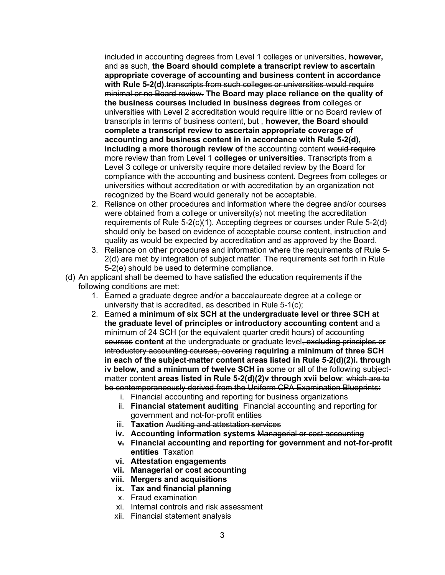included in accounting degrees from Level 1 colleges or universities, **however,** and as such, **the Board should complete a transcript review to ascertain appropriate coverage of accounting and business content in accordance with Rule 5-2(d).**transcripts from such colleges or universities would require minimal or no Board review. **The Board may place reliance on the quality of the business courses included in business degrees from** colleges or universities with Level 2 accreditation would require little or no Board review of transcripts in terms of business content, but , **however, the Board should complete a transcript review to ascertain appropriate coverage of accounting and business content in in accordance with Rule 5-2(d), including a more thorough review of** the accounting content would require more review than from Level 1 **colleges or universities**. Transcripts from a Level 3 college or university require more detailed review by the Board for compliance with the accounting and business content. Degrees from colleges or universities without accreditation or with accreditation by an organization not recognized by the Board would generally not be acceptable.

- 2. Reliance on other procedures and information where the degree and/or courses were obtained from a college or university(s) not meeting the accreditation requirements of Rule 5-2(c)(1). Accepting degrees or courses under Rule 5-2(d) should only be based on evidence of acceptable course content, instruction and quality as would be expected by accreditation and as approved by the Board.
- 3. Reliance on other procedures and information where the requirements of Rule 5- 2(d) are met by integration of subject matter. The requirements set forth in Rule 5-2(e) should be used to determine compliance.
- (d) An applicant shall be deemed to have satisfied the education requirements if the following conditions are met:
	- 1. Earned a graduate degree and/or a baccalaureate degree at a college or university that is accredited, as described in Rule 5-1(c);
	- 2. Earned **a minimum of six SCH at the undergraduate level or three SCH at the graduate level of principles or introductory accounting content** and a minimum of 24 SCH (or the equivalent quarter credit hours) of accounting courses **content** at the undergraduate or graduate level, excluding principles or introductory accounting courses, covering **requiring a minimum of three SCH in each of the subject-matter content areas listed in Rule 5-2(d)(2)i. through iv below, and a minimum of twelve SCH in** some or all of the following subjectmatter content **areas listed in Rule 5-2(d)(2)v through xvii below**: which are to be contemporaneously derived from the Uniform CPA Examination Blueprints:
		- i. Financial accounting and reporting for business organizations
		- ii. **Financial statement auditing** Financial accounting and reporting for government and not-for-profit entities
		- iii. **Taxation** Auditing and attestation services
		- **iv. Accounting information systems** Managerial or cost accounting
		- **v. Financial accounting and reporting for government and not-for-profit entities** Taxation
		- **vi. Attestation engagements**
		- **vii. Managerial or cost accounting**
		- **viii. Mergers and acquisitions**
		- **ix. Tax and financial planning**
		- x. Fraud examination
		- xi. Internal controls and risk assessment
		- xii. Financial statement analysis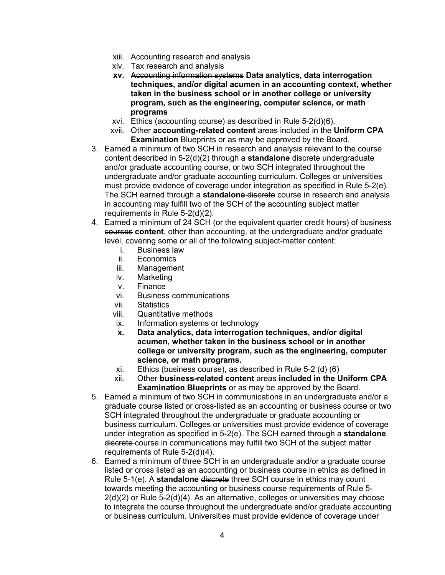- xiii. Accounting research and analysis
- xiv. Tax research and analysis
- **xv.** Accounting information systems **Data analytics, data interrogation techniques, and/or digital acumen in an accounting context, whether taken in the business school or in another college or university program, such as the engineering, computer science, or math programs**
- xvi. Ethics (accounting course) as described in Rule 5-2(d)(6).
- xvii. Other **accounting-related content** areas included in the **Uniform CPA Examination** Blueprints or as may be approved by the Board.
- 3. Earned a minimum of two SCH in research and analysis relevant to the course content described in 5-2(d)(2) through a **standalone** discrete undergraduate and/or graduate accounting course, or two SCH integrated throughout the undergraduate and/or graduate accounting curriculum. Colleges or universities must provide evidence of coverage under integration as specified in Rule 5-2(e). The SCH earned through a **standalone** discrete course in research and analysis in accounting may fulfill two of the SCH of the accounting subject matter requirements in Rule 5-2(d)(2).
- 4. Earned a minimum of 24 SCH (or the equivalent quarter credit hours) of business courses **content**, other than accounting, at the undergraduate and/or graduate level, covering some or all of the following subject-matter content:
	- i. Business law
	- ii. Economics
	- iii. Management
	- iv. Marketing
	- v. Finance
	- vi. Business communications
	- vii. Statistics
	- viii. Quantitative methods
	- ix. Information systems or technology
	- **x. Data analytics, data interrogation techniques, and/or digital acumen, whether taken in the business school or in another college or university program, such as the engineering, computer science, or math programs.**
	- xi. Ethics (business course), as described in Rule  $5-2$  (d) (6)
	- xii. Other **business-related content** areas **included in the Uniform CPA Examination Blueprints** or as may be approved by the Board.
- 5. Earned a minimum of two SCH in communications in an undergraduate and/or a graduate course listed or cross-listed as an accounting or business course or two SCH integrated throughout the undergraduate or graduate accounting or business curriculum. Colleges or universities must provide evidence of coverage under integration as specified in 5-2(e). The SCH earned through a **standalone** discrete course in communications may fulfill two SCH of the subject matter requirements of Rule 5-2(d)(4).
- 6. Earned a minimum of three SCH in an undergraduate and/or a graduate course listed or cross listed as an accounting or business course in ethics as defined in Rule 5-1(e). A **standalone** discrete three SCH course in ethics may count towards meeting the accounting or business course requirements of Rule 5-  $2(d)(2)$  or Rule 5-2(d)(4). As an alternative, colleges or universities may choose to integrate the course throughout the undergraduate and/or graduate accounting or business curriculum. Universities must provide evidence of coverage under